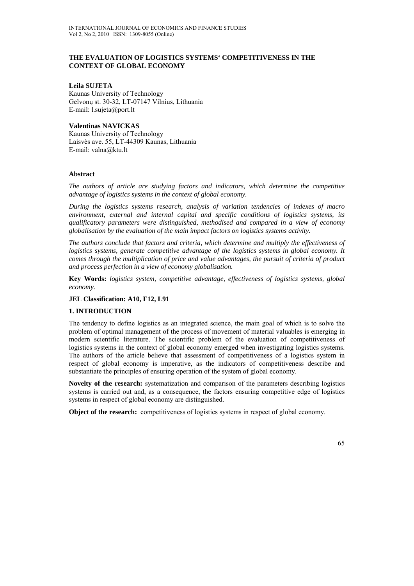## **THE EVALUATION OF LOGISTICS SYSTEMS' COMPETITIVENESS IN THE CONTEXT OF GLOBAL ECONOMY**

### **Leila SUJETA**

Kaunas University of Technology Gelvonų st. 30-32, LT-07147 Vilnius, Lithuania E-mail: l.sujeta@port.lt

### **Valentinas NAVICKAS**

Kaunas University of Technology Laisvės ave. 55, LT-44309 Kaunas, Lithuania E-mail: valna@ktu.lt

### **Abstract**

*The authors of article are studying factors and indicators, which determine the competitive advantage of logistics systems in the context of global economy.* 

*During the logistics systems research, analysis of variation tendencies of indexes of macro environment, external and internal capital and specific conditions of logistics systems, its qualificatory parameters were distinguished, methodised and compared in a view of economy globalisation by the evaluation of the main impact factors on logistics systems activity.* 

*The authors conclude that factors and criteria, which determine and multiply the effectiveness of logistics systems, generate competitive advantage of the logistics systems in global economy. It comes through the multiplication of price and value advantages, the pursuit of criteria of product and process perfection in a view of economy globalisation.* 

**Key Words:** *logistics system, competitive advantage, effectiveness of logistics systems, global economy.* 

## **JEL Classification: A10, F12, L91**

#### **1. INTRODUCTION**

The tendency to define logistics as an integrated science, the main goal of which is to solve the problem of optimal management of the process of movement of material valuables is emerging in modern scientific literature. The scientific problem of the evaluation of competitiveness of logistics systems in the context of global economy emerged when investigating logistics systems. The authors of the article believe that assessment of competitiveness of a logistics system in respect of global economy is imperative, as the indicators of competitiveness describe and substantiate the principles of ensuring operation of the system of global economy.

**Novelty of the research:** systematization and comparison of the parameters describing logistics systems is carried out and, as a consequence, the factors ensuring competitive edge of logistics systems in respect of global economy are distinguished.

**Object of the research:** competitiveness of logistics systems in respect of global economy.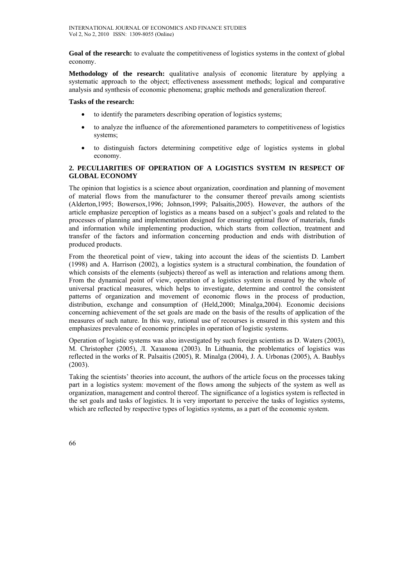**Goal of the research:** to evaluate the competitiveness of logistics systems in the context of global economy.

**Methodology of the research:** qualitative analysis of economic literature by applying a systematic approach to the object; effectiveness assessment methods; logical and comparative analysis and synthesis of economic phenomena; graphic methods and generalization thereof.

### **Tasks of the research:**

- to identify the parameters describing operation of logistics systems;
- to analyze the influence of the aforementioned parameters to competitiveness of logistics systems;
- to distinguish factors determining competitive edge of logistics systems in global economy.

# **2. PECULIARITIES OF OPERATION OF A LOGISTICS SYSTEM IN RESPECT OF GLOBAL ECONOMY**

The opinion that logistics is a science about organization, coordination and planning of movement of material flows from the manufacturer to the consumer thereof prevails among scientists (Alderton,1995; Bowersox,1996; Johnson,1999; Palsaitis,2005). However, the authors of the article emphasize perception of logistics as a means based on a subject's goals and related to the processes of planning and implementation designed for ensuring optimal flow of materials, funds and information while implementing production, which starts from collection, treatment and transfer of the factors and information concerning production and ends with distribution of produced products.

From the theoretical point of view, taking into account the ideas of the scientists D. Lambert (1998) and A. Harrison (2002), a logistics system is a structural combination, the foundation of which consists of the elements (subjects) thereof as well as interaction and relations among them. From the dynamical point of view, operation of a logistics system is ensured by the whole of universal practical measures, which helps to investigate, determine and control the consistent patterns of organization and movement of economic flows in the process of production, distribution, exchange and consumption of (Held,2000; Minalga,2004). Economic decisions concerning achievement of the set goals are made on the basis of the results of application of the measures of such nature. In this way, rational use of recourses is ensured in this system and this emphasizes prevalence of economic principles in operation of logistic systems.

Operation of logistic systems was also investigated by such foreign scientists as D. Waters (2003), M. Christopher (2005), Л. Хазанова (2003). In Lithuania, the problematics of logistics was reflected in the works of R. Palsaitis (2005), R. Minalga (2004), J. A. Urbonas (2005), A. Baublys (2003).

Taking the scientists' theories into account, the authors of the article focus on the processes taking part in a logistics system: movement of the flows among the subjects of the system as well as organization, management and control thereof. The significance of a logistics system is reflected in the set goals and tasks of logistics. It is very important to perceive the tasks of logistics systems, which are reflected by respective types of logistics systems, as a part of the economic system.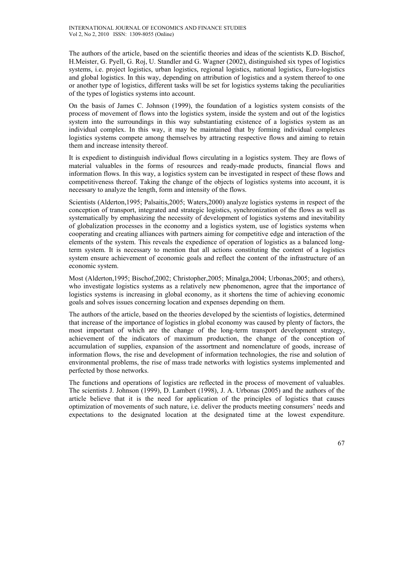The authors of the article, based on the scientific theories and ideas of the scientists K.D. Bischof, H.Meister, G. Pyell, G. Roj, U. Standler and G. Wagner (2002), distinguished six types of logistics systems, i.e. project logistics, urban logistics, regional logistics, national logistics, Euro-logistics and global logistics. In this way, depending on attribution of logistics and a system thereof to one or another type of logistics, different tasks will be set for logistics systems taking the peculiarities of the types of logistics systems into account.

On the basis of James C. Johnson (1999), the foundation of a logistics system consists of the process of movement of flows into the logistics system, inside the system and out of the logistics system into the surroundings in this way substantiating existence of a logistics system as an individual complex. In this way, it may be maintained that by forming individual complexes logistics systems compete among themselves by attracting respective flows and aiming to retain them and increase intensity thereof.

It is expedient to distinguish individual flows circulating in a logistics system. They are flows of material valuables in the forms of resources and ready-made products, financial flows and information flows. In this way, a logistics system can be investigated in respect of these flows and competitiveness thereof. Taking the change of the objects of logistics systems into account, it is necessary to analyze the length, form and intensity of the flows.

Scientists (Alderton,1995; Palsaitis,2005; Waters,2000) analyze logistics systems in respect of the conception of transport, integrated and strategic logistics, synchronization of the flows as well as systematically by emphasizing the necessity of development of logistics systems and inevitability of globalization processes in the economy and a logistics system, use of logistics systems when cooperating and creating alliances with partners aiming for competitive edge and interaction of the elements of the system. This reveals the expedience of operation of logistics as a balanced longterm system. It is necessary to mention that all actions constituting the content of a logistics system ensure achievement of economic goals and reflect the content of the infrastructure of an economic system.

Most (Alderton,1995; Bischof,2002; Christopher,2005; Minalga,2004; Urbonas,2005; and others), who investigate logistics systems as a relatively new phenomenon, agree that the importance of logistics systems is increasing in global economy, as it shortens the time of achieving economic goals and solves issues concerning location and expenses depending on them.

The authors of the article, based on the theories developed by the scientists of logistics, determined that increase of the importance of logistics in global economy was caused by plenty of factors, the most important of which are the change of the long-term transport development strategy, achievement of the indicators of maximum production, the change of the conception of accumulation of supplies, expansion of the assortment and nomenclature of goods, increase of information flows, the rise and development of information technologies, the rise and solution of environmental problems, the rise of mass trade networks with logistics systems implemented and perfected by those networks.

The functions and operations of logistics are reflected in the process of movement of valuables. The scientists J. Johnson (1999), D. Lambert (1998), J. A. Urbonas (2005) and the authors of the article believe that it is the need for application of the principles of logistics that causes optimization of movements of such nature, i.e. deliver the products meeting consumers' needs and expectations to the designated location at the designated time at the lowest expenditure.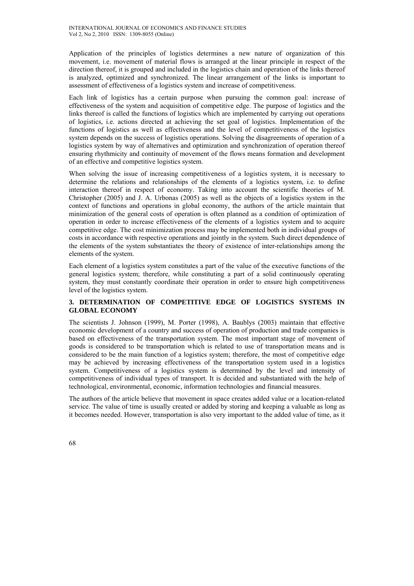Application of the principles of logistics determines a new nature of organization of this movement, i.e. movement of material flows is arranged at the linear principle in respect of the direction thereof, it is grouped and included in the logistics chain and operation of the links thereof is analyzed, optimized and synchronized. The linear arrangement of the links is important to assessment of effectiveness of a logistics system and increase of competitiveness.

Each link of logistics has a certain purpose when pursuing the common goal: increase of effectiveness of the system and acquisition of competitive edge. The purpose of logistics and the links thereof is called the functions of logistics which are implemented by carrying out operations of logistics, i.e. actions directed at achieving the set goal of logistics. Implementation of the functions of logistics as well as effectiveness and the level of competitiveness of the logistics system depends on the success of logistics operations. Solving the disagreements of operation of a logistics system by way of alternatives and optimization and synchronization of operation thereof ensuring rhythmicity and continuity of movement of the flows means formation and development of an effective and competitive logistics system.

When solving the issue of increasing competitiveness of a logistics system, it is necessary to determine the relations and relationships of the elements of a logistics system, i.e. to define interaction thereof in respect of economy. Taking into account the scientific theories of M. Christopher (2005) and J. A. Urbonas (2005) as well as the objects of a logistics system in the context of functions and operations in global economy, the authors of the article maintain that minimization of the general costs of operation is often planned as a condition of optimization of operation in order to increase effectiveness of the elements of a logistics system and to acquire competitive edge. The cost minimization process may be implemented both in individual groups of costs in accordance with respective operations and jointly in the system. Such direct dependence of the elements of the system substantiates the theory of existence of inter-relationships among the elements of the system.

Each element of a logistics system constitutes a part of the value of the executive functions of the general logistics system; therefore, while constituting a part of a solid continuously operating system, they must constantly coordinate their operation in order to ensure high competitiveness level of the logistics system.

## **3. DETERMINATION OF COMPETITIVE EDGE OF LOGISTICS SYSTEMS IN GLOBAL ECONOMY**

The scientists J. Johnson (1999), M. Porter (1998), A. Baublys (2003) maintain that effective economic development of a country and success of operation of production and trade companies is based on effectiveness of the transportation system. The most important stage of movement of goods is considered to be transportation which is related to use of transportation means and is considered to be the main function of a logistics system; therefore, the most of competitive edge may be achieved by increasing effectiveness of the transportation system used in a logistics system. Competitiveness of a logistics system is determined by the level and intensity of competitiveness of individual types of transport. It is decided and substantiated with the help of technological, environmental, economic, information technologies and financial measures.

The authors of the article believe that movement in space creates added value or a location-related service. The value of time is usually created or added by storing and keeping a valuable as long as it becomes needed. However, transportation is also very important to the added value of time, as it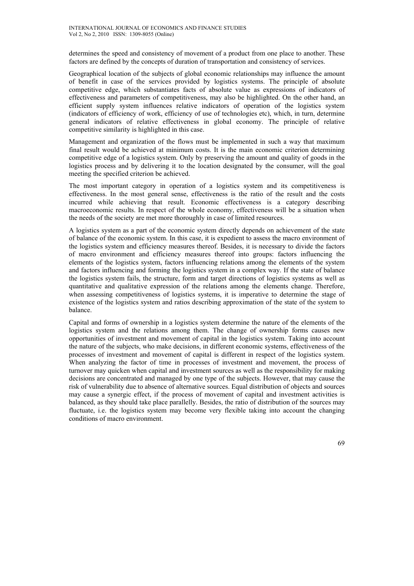determines the speed and consistency of movement of a product from one place to another. These factors are defined by the concepts of duration of transportation and consistency of services.

Geographical location of the subjects of global economic relationships may influence the amount of benefit in case of the services provided by logistics systems. The principle of absolute competitive edge, which substantiates facts of absolute value as expressions of indicators of effectiveness and parameters of competitiveness, may also be highlighted. On the other hand, an efficient supply system influences relative indicators of operation of the logistics system (indicators of efficiency of work, efficiency of use of technologies etc), which, in turn, determine general indicators of relative effectiveness in global economy. The principle of relative competitive similarity is highlighted in this case.

Management and organization of the flows must be implemented in such a way that maximum final result would be achieved at minimum costs. It is the main economic criterion determining competitive edge of a logistics system. Only by preserving the amount and quality of goods in the logistics process and by delivering it to the location designated by the consumer, will the goal meeting the specified criterion be achieved.

The most important category in operation of a logistics system and its competitiveness is effectiveness. In the most general sense, effectiveness is the ratio of the result and the costs incurred while achieving that result. Economic effectiveness is a category describing macroeconomic results. In respect of the whole economy, effectiveness will be a situation when the needs of the society are met more thoroughly in case of limited resources.

A logistics system as a part of the economic system directly depends on achievement of the state of balance of the economic system. In this case, it is expedient to assess the macro environment of the logistics system and efficiency measures thereof. Besides, it is necessary to divide the factors of macro environment and efficiency measures thereof into groups: factors influencing the elements of the logistics system, factors influencing relations among the elements of the system and factors influencing and forming the logistics system in a complex way. If the state of balance the logistics system fails, the structure, form and target directions of logistics systems as well as quantitative and qualitative expression of the relations among the elements change. Therefore, when assessing competitiveness of logistics systems, it is imperative to determine the stage of existence of the logistics system and ratios describing approximation of the state of the system to balance.

Capital and forms of ownership in a logistics system determine the nature of the elements of the logistics system and the relations among them. The change of ownership forms causes new opportunities of investment and movement of capital in the logistics system. Taking into account the nature of the subjects, who make decisions, in different economic systems, effectiveness of the processes of investment and movement of capital is different in respect of the logistics system. When analyzing the factor of time in processes of investment and movement, the process of turnover may quicken when capital and investment sources as well as the responsibility for making decisions are concentrated and managed by one type of the subjects. However, that may cause the risk of vulnerability due to absence of alternative sources. Equal distribution of objects and sources may cause a synergic effect, if the process of movement of capital and investment activities is balanced, as they should take place parallelly. Besides, the ratio of distribution of the sources may fluctuate, i.e. the logistics system may become very flexible taking into account the changing conditions of macro environment.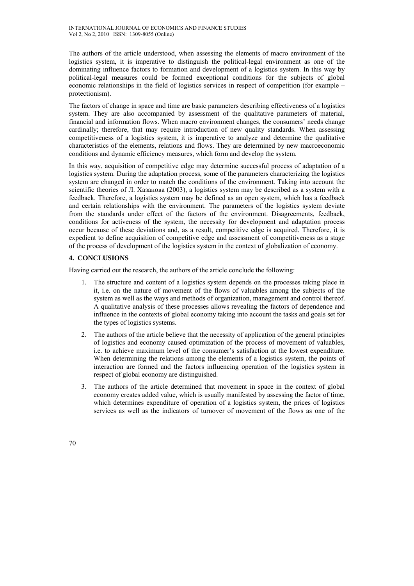The authors of the article understood, when assessing the elements of macro environment of the logistics system, it is imperative to distinguish the political-legal environment as one of the dominating influence factors to formation and development of a logistics system. In this way by political-legal measures could be formed exceptional conditions for the subjects of global economic relationships in the field of logistics services in respect of competition (for example – protectionism).

The factors of change in space and time are basic parameters describing effectiveness of a logistics system. They are also accompanied by assessment of the qualitative parameters of material, financial and information flows. When macro environment changes, the consumers' needs change cardinally; therefore, that may require introduction of new quality standards. When assessing competitiveness of a logistics system, it is imperative to analyze and determine the qualitative characteristics of the elements, relations and flows. They are determined by new macroeconomic conditions and dynamic efficiency measures, which form and develop the system.

In this way, acquisition of competitive edge may determine successful process of adaptation of a logistics system. During the adaptation process, some of the parameters characterizing the logistics system are changed in order to match the conditions of the environment. Taking into account the scientific theories of Л. Хазанова (2003), a logistics system may be described as a system with a feedback. Therefore, a logistics system may be defined as an open system, which has a feedback and certain relationships with the environment. The parameters of the logistics system deviate from the standards under effect of the factors of the environment. Disagreements, feedback, conditions for activeness of the system, the necessity for development and adaptation process occur because of these deviations and, as a result, competitive edge is acquired. Therefore, it is expedient to define acquisition of competitive edge and assessment of competitiveness as a stage of the process of development of the logistics system in the context of globalization of economy.

# **4. CONCLUSIONS**

Having carried out the research, the authors of the article conclude the following:

- 1. The structure and content of a logistics system depends on the processes taking place in it, i.e. on the nature of movement of the flows of valuables among the subjects of the system as well as the ways and methods of organization, management and control thereof. A qualitative analysis of these processes allows revealing the factors of dependence and influence in the contexts of global economy taking into account the tasks and goals set for the types of logistics systems.
- 2. The authors of the article believe that the necessity of application of the general principles of logistics and economy caused optimization of the process of movement of valuables, i.e. to achieve maximum level of the consumer's satisfaction at the lowest expenditure. When determining the relations among the elements of a logistics system, the points of interaction are formed and the factors influencing operation of the logistics system in respect of global economy are distinguished.
- 3. The authors of the article determined that movement in space in the context of global economy creates added value, which is usually manifested by assessing the factor of time, which determines expenditure of operation of a logistics system, the prices of logistics services as well as the indicators of turnover of movement of the flows as one of the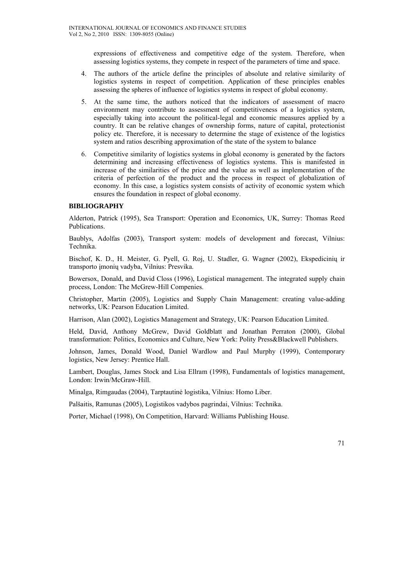expressions of effectiveness and competitive edge of the system. Therefore, when assessing logistics systems, they compete in respect of the parameters of time and space.

- 4. The authors of the article define the principles of absolute and relative similarity of logistics systems in respect of competition. Application of these principles enables assessing the spheres of influence of logistics systems in respect of global economy.
- 5. At the same time, the authors noticed that the indicators of assessment of macro environment may contribute to assessment of competitiveness of a logistics system, especially taking into account the political-legal and economic measures applied by a country. It can be relative changes of ownership forms, nature of capital, protectionist policy etc. Therefore, it is necessary to determine the stage of existence of the logistics system and ratios describing approximation of the state of the system to balance
- 6. Competitive similarity of logistics systems in global economy is generated by the factors determining and increasing effectiveness of logistics systems. This is manifested in increase of the similarities of the price and the value as well as implementation of the criteria of perfection of the product and the process in respect of globalization of economy. In this case, a logistics system consists of activity of economic system which ensures the foundation in respect of global economy.

### **BIBLIOGRAPHY**

Alderton, Patrick (1995), Sea Transport: Operation and Economics*,* UK, Surrey: Thomas Reed Publications.

Baublys, Adolfas (2003), Transport system: models of development and forecast, Vilnius: Technika.

Bischof, K. D., H. Meister, G. Pyell, G. Roj, U. Stadler, G. Wagner (2002), Ekspedicinių ir transporto įmonių vadyba, Vilnius: Presvika.

Bowersox, Donald, and David Closs (1996), Logistical management. The integrated supply chain process, London: The McGrew-Hill Compenies.

Christopher, Martin (2005), Logistics and Supply Chain Management: creating value-adding networks, UK: Pearson Education Limited.

Harrison, Alan (2002), Logistics Management and Strategy, UK: Pearson Education Limited.

Held, David, Anthony McGrew, David Goldblatt and Jonathan Perraton (2000), Global transformation: Politics, Economics and Culture, New York: Polity Press&Blackwell Publishers.

Johnson, James, Donald Wood, Daniel Wardlow and Paul Murphy (1999), Contemporary logistics, New Jersey: Prentice Hall.

Lambert, Douglas, James Stock and Lisa Ellram (1998), Fundamentals of logistics management, London: Irwin/McGraw-Hill.

Minalga, Rimgaudas (2004), Tarptautinė logistika, Vilnius: Homo Liber.

Palšaitis, Ramunas (2005), Logistikos vadybos pagrindai, Vilnius: Technika.

Porter, Michael (1998), On Competition, Harvard: Williams Publishing House.